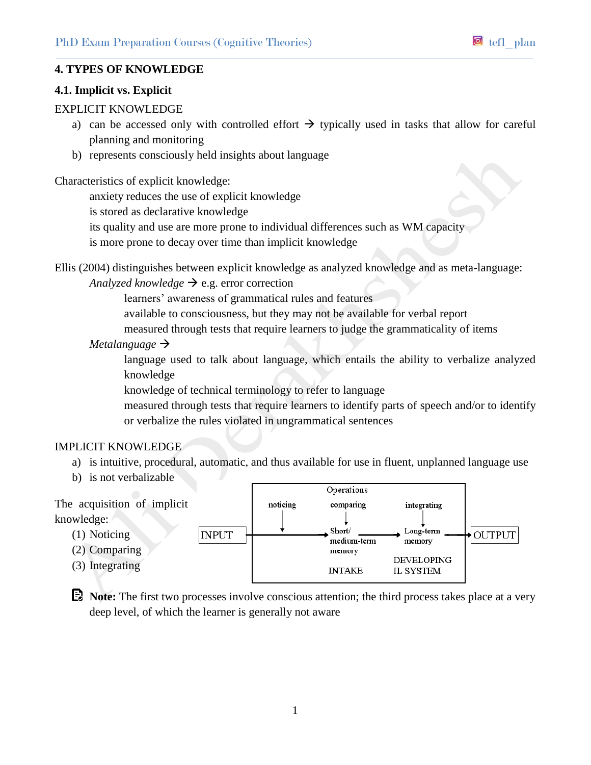## **4. TYPES OF KNOWLEDGE**

### **4.1. Implicit vs. Explicit**

## EXPLICIT KNOWLEDGE

- a) can be accessed only with controlled effort  $\rightarrow$  typically used in tasks that allow for careful planning and monitoring
- b) represents consciously held insights about language

Characteristics of explicit knowledge:

anxiety reduces the use of explicit knowledge

is stored as declarative knowledge

its quality and use are more prone to individual differences such as WM capacity

is more prone to decay over time than implicit knowledge

Ellis (2004) distinguishes between explicit knowledge as analyzed knowledge and as meta-language:

## *Analyzed knowledge*  $\rightarrow$  e.g. error correction

learners' awareness of grammatical rules and features

available to consciousness, but they may not be available for verbal report

measured through tests that require learners to judge the grammaticality of items

### *Metalanguage*

language used to talk about language, which entails the ability to verbalize analyzed knowledge

knowledge of technical terminology to refer to language

measured through tests that require learners to identify parts of speech and/or to identify or verbalize the rules violated in ungrammatical sentences

# IMPLICIT KNOWLEDGE

- a) is intuitive, procedural, automatic, and thus available for use in fluent, unplanned language use
- b) is not verbalizable



**E**. Note: The first two processes involve conscious attention; the third process takes place at a very deep level, of which the learner is generally not aware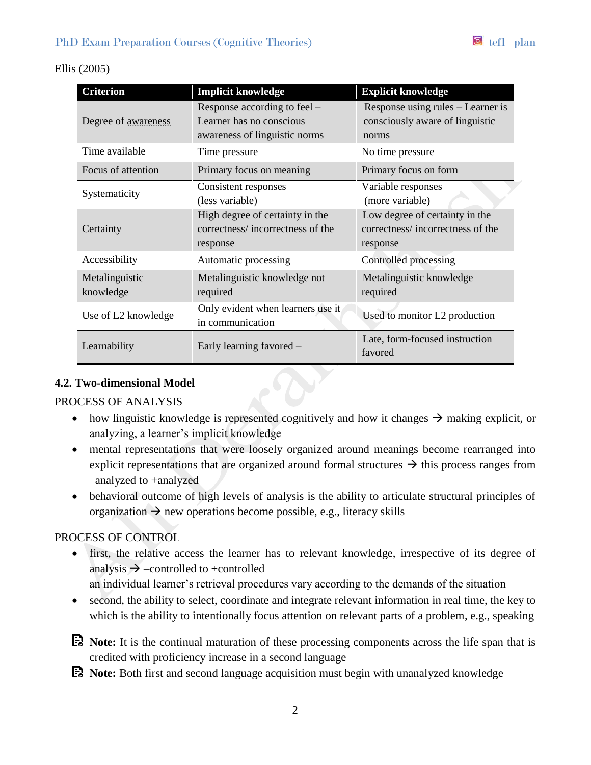| <b>Criterion</b>            | <b>Implicit knowledge</b>                                                                 | <b>Explicit knowledge</b>                                                      |
|-----------------------------|-------------------------------------------------------------------------------------------|--------------------------------------------------------------------------------|
| Degree of awareness         | Response according to feel –<br>Learner has no conscious<br>awareness of linguistic norms | Response using rules – Learner is<br>consciously aware of linguistic<br>norms  |
| Time available              | Time pressure                                                                             | No time pressure                                                               |
| Focus of attention          | Primary focus on meaning                                                                  | Primary focus on form                                                          |
| Systematicity               | Consistent responses<br>(less variable)                                                   | Variable responses<br>(more variable)                                          |
| Certainty                   | High degree of certainty in the<br>correctness/incorrectness of the<br>response           | Low degree of certainty in the<br>correctness/incorrectness of the<br>response |
| Accessibility               | Automatic processing                                                                      | Controlled processing                                                          |
| Metalinguistic<br>knowledge | Metalinguistic knowledge not<br>required                                                  | Metalinguistic knowledge<br>required                                           |
| Use of L2 knowledge         | Only evident when learners use it<br>in communication                                     | Used to monitor L2 production                                                  |
| Learnability                | Early learning favored –                                                                  | Late, form-focused instruction<br>favored                                      |

## Ellis (2005)

## **4.2. Two-dimensional Model**

PROCESS OF ANALYSIS

- how linguistic knowledge is represented cognitively and how it changes  $\rightarrow$  making explicit, or analyzing, a learner's implicit knowledge
- mental representations that were loosely organized around meanings become rearranged into explicit representations that are organized around formal structures  $\rightarrow$  this process ranges from –analyzed to +analyzed
- behavioral outcome of high levels of analysis is the ability to articulate structural principles of organization  $\rightarrow$  new operations become possible, e.g., literacy skills

# PROCESS OF CONTROL

- first, the relative access the learner has to relevant knowledge, irrespective of its degree of analysis  $\rightarrow$  -controlled to +controlled
	- an individual learner's retrieval procedures vary according to the demands of the situation
- second, the ability to select, coordinate and integrate relevant information in real time, the key to which is the ability to intentionally focus attention on relevant parts of a problem, e.g., speaking
- **Note:** It is the continual maturation of these processing components across the life span that is credited with proficiency increase in a second language
- **Note:** Both first and second language acquisition must begin with unanalyzed knowledge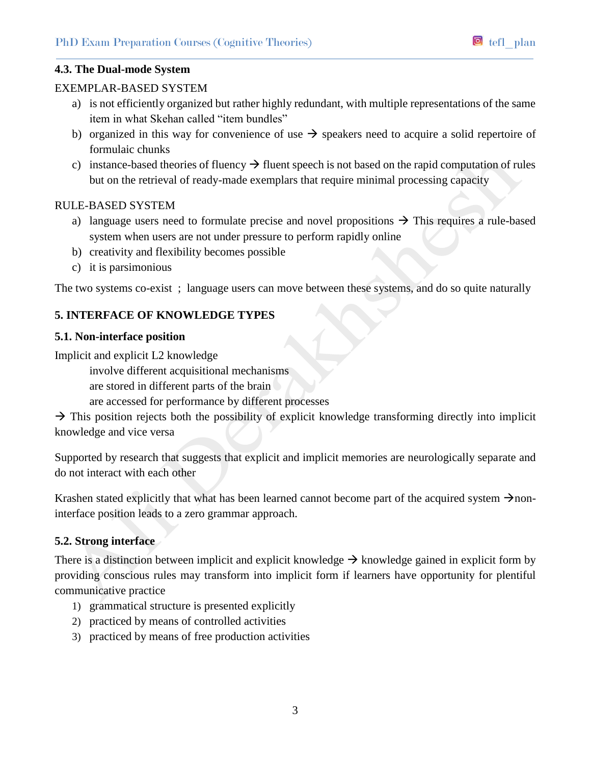## EXEMPLAR-BASED SYSTEM

- a) is not efficiently organized but rather highly redundant, with multiple representations of the same item in what Skehan called "item bundles"
- b) organized in this way for convenience of use  $\rightarrow$  speakers need to acquire a solid repertoire of formulaic chunks
- c) instance-based theories of fluency  $\rightarrow$  fluent speech is not based on the rapid computation of rules but on the retrieval of ready-made exemplars that require minimal processing capacity

## RULE-BASED SYSTEM

- a) language users need to formulate precise and novel propositions  $\rightarrow$  This requires a rule-based system when users are not under pressure to perform rapidly online
- b) creativity and flexibility becomes possible
- c) it is parsimonious

The two systems co-exist ; language users can move between these systems, and do so quite naturally

# **5. INTERFACE OF KNOWLEDGE TYPES**

## **5.1. Non-interface position**

Implicit and explicit L2 knowledge

involve different acquisitional mechanisms

are stored in different parts of the brain

are accessed for performance by different processes

 $\rightarrow$  This position rejects both the possibility of explicit knowledge transforming directly into implicit knowledge and vice versa

Supported by research that suggests that explicit and implicit memories are neurologically separate and do not interact with each other

Krashen stated explicitly that what has been learned cannot become part of the acquired system  $\rightarrow$  noninterface position leads to a zero grammar approach.

# **5.2. Strong interface**

There is a distinction between implicit and explicit knowledge  $\rightarrow$  knowledge gained in explicit form by providing conscious rules may transform into implicit form if learners have opportunity for plentiful communicative practice

- 1) grammatical structure is presented explicitly
- 2) practiced by means of controlled activities
- 3) practiced by means of free production activities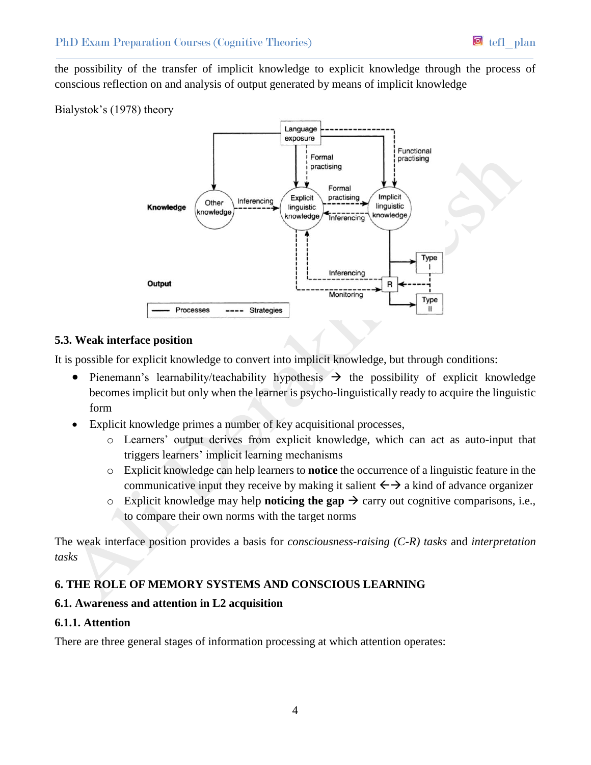the possibility of the transfer of implicit knowledge to explicit knowledge through the process of conscious reflection on and analysis of output generated by means of implicit knowledge

# Bialystok's (1978) theory



# **5.3. Weak interface position**

It is possible for explicit knowledge to convert into implicit knowledge, but through conditions:

- Pienemann's learnability/teachability hypothesis  $\rightarrow$  the possibility of explicit knowledge becomes implicit but only when the learner is psycho-linguistically ready to acquire the linguistic form
- Explicit knowledge primes a number of key acquisitional processes,
	- o Learners' output derives from explicit knowledge, which can act as auto-input that triggers learners' implicit learning mechanisms
	- o Explicit knowledge can help learners to **notice** the occurrence of a linguistic feature in the communicative input they receive by making it salient  $\leftrightarrow$  a kind of advance organizer
	- $\circ$  Explicit knowledge may help **noticing the gap**  $\rightarrow$  carry out cognitive comparisons, i.e., to compare their own norms with the target norms

The weak interface position provides a basis for *consciousness-raising (C-R) tasks* and *interpretation tasks*

# **6. THE ROLE OF MEMORY SYSTEMS AND CONSCIOUS LEARNING**

# **6.1. Awareness and attention in L2 acquisition**

# **6.1.1. Attention**

There are three general stages of information processing at which attention operates: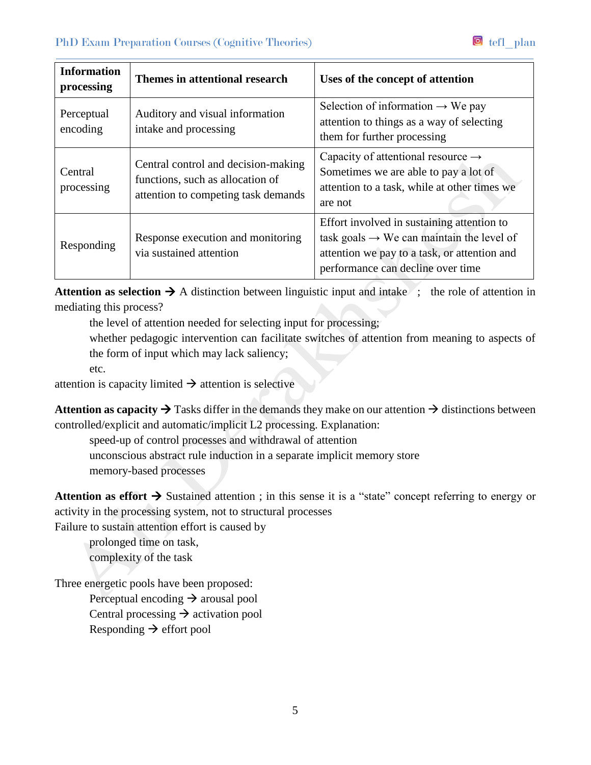| <b>Information</b><br>processing | Themes in attentional research                                                                                 | Uses of the concept of attention                                                                                                                                                         |
|----------------------------------|----------------------------------------------------------------------------------------------------------------|------------------------------------------------------------------------------------------------------------------------------------------------------------------------------------------|
| Perceptual<br>encoding           | Auditory and visual information<br>intake and processing                                                       | Selection of information $\rightarrow$ We pay<br>attention to things as a way of selecting<br>them for further processing                                                                |
| Central<br>processing            | Central control and decision-making<br>functions, such as allocation of<br>attention to competing task demands | Capacity of attentional resource $\rightarrow$<br>Sometimes we are able to pay a lot of<br>attention to a task, while at other times we<br>are not                                       |
| Responding                       | Response execution and monitoring<br>via sustained attention                                                   | Effort involved in sustaining attention to<br>task goals $\rightarrow$ We can maintain the level of<br>attention we pay to a task, or attention and<br>performance can decline over time |

**Attention as selection**  $\rightarrow$  A distinction between linguistic input and intake ; the role of attention in mediating this process?

the level of attention needed for selecting input for processing;

whether pedagogic intervention can facilitate switches of attention from meaning to aspects of the form of input which may lack saliency;

etc.

attention is capacity limited  $\rightarrow$  attention is selective

**Attention as capacity**  $\rightarrow$  **Tasks differ in the demands they make on our attention**  $\rightarrow$  **distinctions between** controlled/explicit and automatic/implicit L2 processing. Explanation:

speed-up of control processes and withdrawal of attention unconscious abstract rule induction in a separate implicit memory store memory-based processes

**Attention as effort**  $\rightarrow$  **Sustained attention**; in this sense it is a "state" concept referring to energy or activity in the processing system, not to structural processes

Failure to sustain attention effort is caused by

prolonged time on task, complexity of the task

Three energetic pools have been proposed: Perceptual encoding  $\rightarrow$  arousal pool Central processing  $\rightarrow$  activation pool Responding  $\rightarrow$  effort pool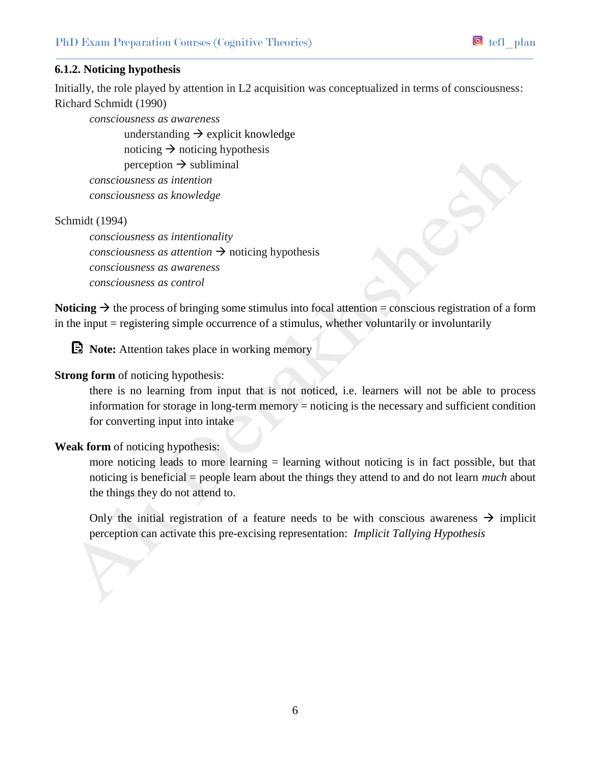## **6.1.2. Noticing hypothesis**

Initially, the role played by attention in L2 acquisition was conceptualized in terms of consciousness: Richard Schmidt (1990)

*consciousness as awareness* 

understanding  $\rightarrow$  explicit knowledge noticing  $\rightarrow$  noticing hypothesis perception  $\rightarrow$  subliminal *consciousness as intention consciousness as knowledge*

Schmidt (1994)

*consciousness as intentionality consciousness as attention*  $\rightarrow$  noticing hypothesis *consciousness as awareness consciousness as control*

**Noticing**  $\rightarrow$  the process of bringing some stimulus into focal attention = conscious registration of a form in the input = registering simple occurrence of a stimulus, whether voluntarily or involuntarily

**Note:** Attention takes place in working memory

## **Strong form** of noticing hypothesis:

there is no learning from input that is not noticed, i.e. learners will not be able to process information for storage in long-term memory  $=$  noticing is the necessary and sufficient condition for converting input into intake

**Weak form** of noticing hypothesis:

more noticing leads to more learning  $=$  learning without noticing is in fact possible, but that noticing is beneficial = people learn about the things they attend to and do not learn *much* about the things they do not attend to.

Only the initial registration of a feature needs to be with conscious awareness  $\rightarrow$  implicit perception can activate this pre-excising representation: *Implicit Tallying Hypothesis*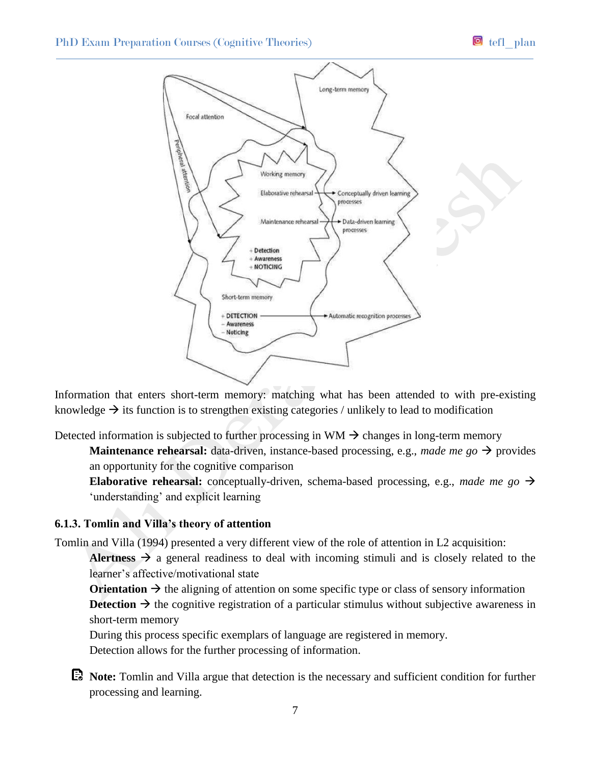

Information that enters short-term memory: matching what has been attended to with pre-existing knowledge  $\rightarrow$  its function is to strengthen existing categories / unlikely to lead to modification

Detected information is subjected to further processing in  $WM \rightarrow$  changes in long-term memory

**Maintenance rehearsal:** data-driven, instance-based processing, e.g., *made me go*  $\rightarrow$  provides an opportunity for the cognitive comparison

**Elaborative rehearsal:** conceptually-driven, schema-based processing, e.g., *made me go*  $\rightarrow$ 'understanding' and explicit learning

### **6.1.3. Tomlin and Villa's theory of attention**

Tomlin and Villa (1994) presented a very different view of the role of attention in L2 acquisition:

Alertness  $\rightarrow$  a general readiness to deal with incoming stimuli and is closely related to the learner's affective/motivational state

**Orientation**  $\rightarrow$  the aligning of attention on some specific type or class of sensory information **Detection**  $\rightarrow$  the cognitive registration of a particular stimulus without subjective awareness in short-term memory

During this process specific exemplars of language are registered in memory. Detection allows for the further processing of information.

**Note:** Tomlin and Villa argue that detection is the necessary and sufficient condition for further processing and learning.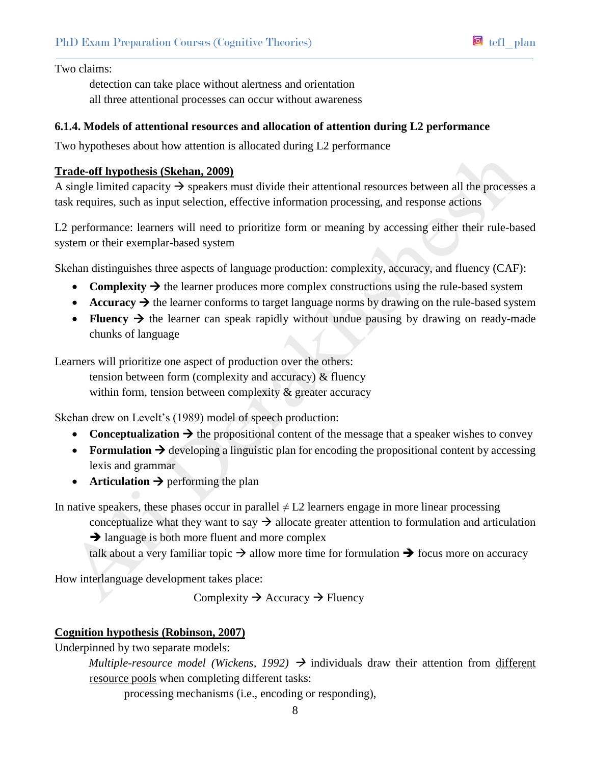Two claims:

detection can take place without alertness and orientation all three attentional processes can occur without awareness

## **6.1.4. Models of attentional resources and allocation of attention during L2 performance**

Two hypotheses about how attention is allocated during L2 performance

### **Trade-off hypothesis (Skehan, 2009)**

A single limited capacity  $\rightarrow$  speakers must divide their attentional resources between all the processes a task requires, such as input selection, effective information processing, and response actions

L2 performance: learners will need to prioritize form or meaning by accessing either their rule-based system or their exemplar-based system

Skehan distinguishes three aspects of language production: complexity, accuracy, and fluency (CAF):

- **Complexity**  $\rightarrow$  the learner produces more complex constructions using the rule-based system
- $\bullet$  **Accuracy**  $\rightarrow$  the learner conforms to target language norms by drawing on the rule-based system
- **Fluency**  $\rightarrow$  the learner can speak rapidly without undue pausing by drawing on ready-made chunks of language

Learners will prioritize one aspect of production over the others:

tension between form (complexity and accuracy) & fluency within form, tension between complexity  $\&$  greater accuracy

Skehan drew on Levelt's (1989) model of speech production:

- **Conceptualization**  $\rightarrow$  the propositional content of the message that a speaker wishes to convey
- **Formulation**  $\rightarrow$  developing a linguistic plan for encoding the propositional content by accessing lexis and grammar
- **Articulation**  $\rightarrow$  performing the plan

In native speakers, these phases occur in parallel  $\neq$  L2 learners engage in more linear processing

conceptualize what they want to say  $\rightarrow$  allocate greater attention to formulation and articulation

 $\rightarrow$  language is both more fluent and more complex

talk about a very familiar topic  $\rightarrow$  allow more time for formulation  $\rightarrow$  focus more on accuracy

How interlanguage development takes place:

Complexity  $\rightarrow$  Accuracy  $\rightarrow$  Fluency

# **Cognition hypothesis (Robinson, 2007)**

Underpinned by two separate models:

*Multiple-resource model (Wickens, 1992)*  $\rightarrow$  individuals draw their attention from different resource pools when completing different tasks:

processing mechanisms (i.e., encoding or responding),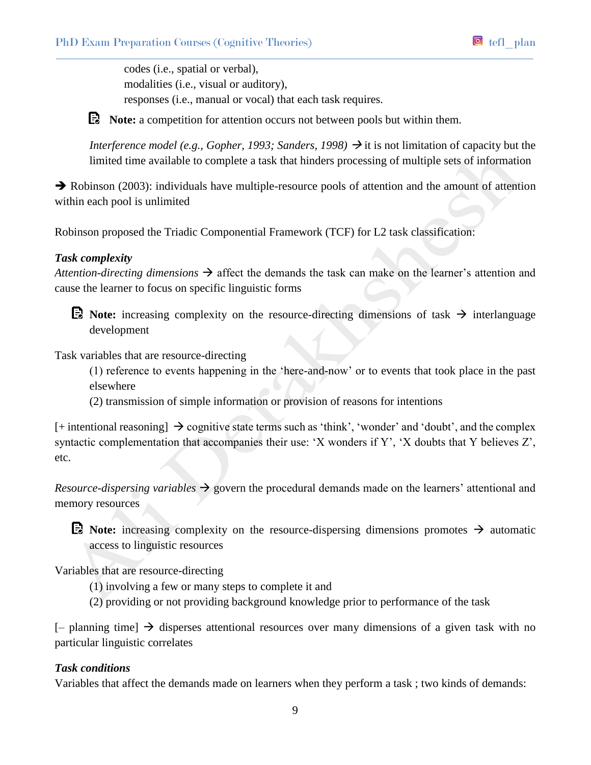codes (i.e., spatial or verbal), modalities (i.e., visual or auditory), responses (i.e., manual or vocal) that each task requires.

**E** Note: a competition for attention occurs not between pools but within them.

*Interference model* (*e.g., Gopher, 1993; Sanders, 1998*)  $\rightarrow$  it is not limitation of capacity but the limited time available to complete a task that hinders processing of multiple sets of information

 $\rightarrow$  Robinson (2003): individuals have multiple-resource pools of attention and the amount of attention within each pool is unlimited

Robinson proposed the Triadic Componential Framework (TCF) for L2 task classification:

# *Task complexity*

*Attention-directing dimensions*  $\rightarrow$  affect the demands the task can make on the learner's attention and cause the learner to focus on specific linguistic forms

**E** Note: increasing complexity on the resource-directing dimensions of task  $\rightarrow$  interlanguage development

Task variables that are resource-directing

(1) reference to events happening in the 'here-and-now' or to events that took place in the past elsewhere

(2) transmission of simple information or provision of reasons for intentions

 $[+$  intentional reasoning  $\rightarrow$  cognitive state terms such as 'think', 'wonder' and 'doubt', and the complex syntactic complementation that accompanies their use: 'X wonders if Y', 'X doubts that Y believes Z', etc.

*Resource-dispersing variables*  $\rightarrow$  govern the procedural demands made on the learners' attentional and memory resources

**E** Note: increasing complexity on the resource-dispersing dimensions promotes  $\rightarrow$  automatic access to linguistic resources

Variables that are resource-directing

- (1) involving a few or many steps to complete it and
- (2) providing or not providing background knowledge prior to performance of the task

 $[-$  planning time]  $\rightarrow$  disperses attentional resources over many dimensions of a given task with no particular linguistic correlates

# *Task conditions*

Variables that affect the demands made on learners when they perform a task ; two kinds of demands: